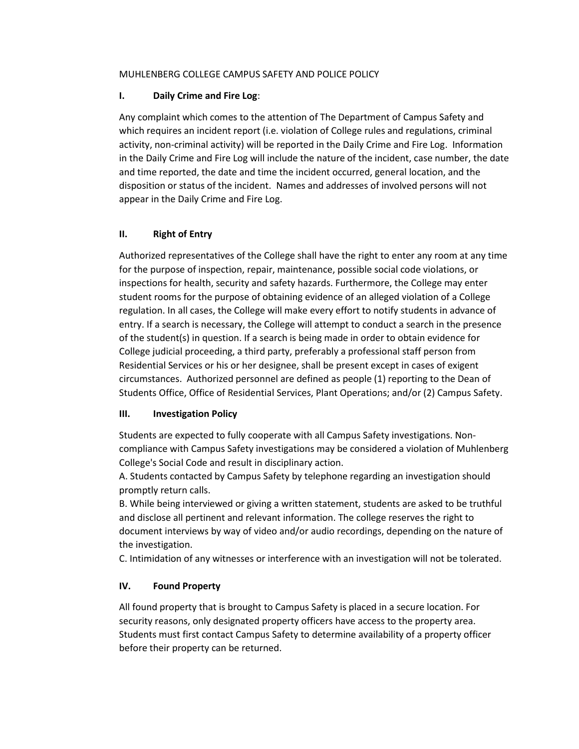### MUHLENBERG COLLEGE CAMPUS SAFETY AND POLICE POLICY

## **I. Daily Crime and Fire Log**:

Any complaint which comes to the attention of The Department of Campus Safety and which requires an incident report (i.e. violation of College rules and regulations, criminal activity, non-criminal activity) will be reported in the Daily Crime and Fire Log. Information in the Daily Crime and Fire Log will include the nature of the incident, case number, the date and time reported, the date and time the incident occurred, general location, and the disposition or status of the incident. Names and addresses of involved persons will not appear in the Daily Crime and Fire Log.

# **II. Right of Entry**

Authorized representatives of the College shall have the right to enter any room at any time for the purpose of inspection, repair, maintenance, possible social code violations, or inspections for health, security and safety hazards. Furthermore, the College may enter student rooms for the purpose of obtaining evidence of an alleged violation of a College regulation. In all cases, the College will make every effort to notify students in advance of entry. If a search is necessary, the College will attempt to conduct a search in the presence of the student(s) in question. If a search is being made in order to obtain evidence for College judicial proceeding, a third party, preferably a professional staff person from Residential Services or his or her designee, shall be present except in cases of exigent circumstances. Authorized personnel are defined as people (1) reporting to the Dean of Students Office, Office of Residential Services, Plant Operations; and/or (2) Campus Safety.

### **III. Investigation Policy**

Students are expected to fully cooperate with all Campus Safety investigations. Noncompliance with Campus Safety investigations may be considered a violation of Muhlenberg College's Social Code and result in disciplinary action.

A. Students contacted by Campus Safety by telephone regarding an investigation should promptly return calls.

B. While being interviewed or giving a written statement, students are asked to be truthful and disclose all pertinent and relevant information. The college reserves the right to document interviews by way of video and/or audio recordings, depending on the nature of the investigation.

C. Intimidation of any witnesses or interference with an investigation will not be tolerated.

# **IV. Found Property**

All found property that is brought to Campus Safety is placed in a secure location. For security reasons, only designated property officers have access to the property area. Students must first contact Campus Safety to determine availability of a property officer before their property can be returned.